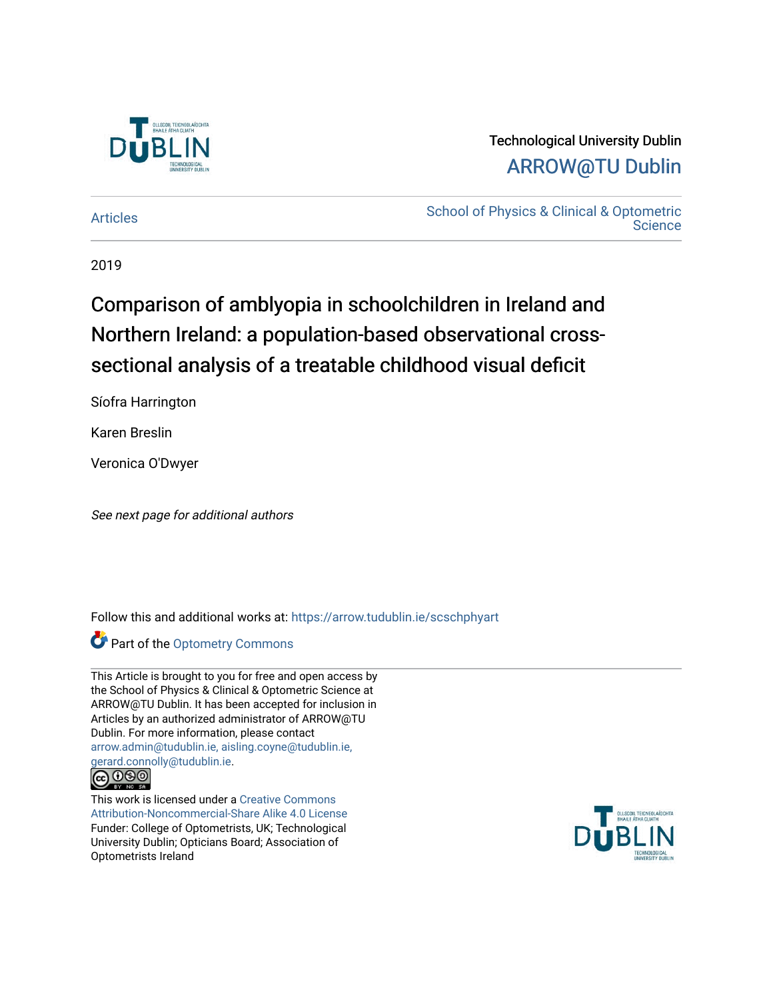

### Technological University Dublin [ARROW@TU Dublin](https://arrow.tudublin.ie/)

[Articles](https://arrow.tudublin.ie/scschphyart) **School of Physics & Clinical & Optometric Science** 

2019

# Comparison of amblyopia in schoolchildren in Ireland and Northern Ireland: a population-based observational crosssectional analysis of a treatable childhood visual deficit

Síofra Harrington

Karen Breslin

Veronica O'Dwyer

See next page for additional authors

Follow this and additional works at: [https://arrow.tudublin.ie/scschphyart](https://arrow.tudublin.ie/scschphyart?utm_source=arrow.tudublin.ie%2Fscschphyart%2F138&utm_medium=PDF&utm_campaign=PDFCoverPages)

**Part of the Optometry Commons** 

This Article is brought to you for free and open access by the School of Physics & Clinical & Optometric Science at ARROW@TU Dublin. It has been accepted for inclusion in Articles by an authorized administrator of ARROW@TU Dublin. For more information, please contact [arrow.admin@tudublin.ie, aisling.coyne@tudublin.ie,](mailto:arrow.admin@tudublin.ie,%20aisling.coyne@tudublin.ie,%20gerard.connolly@tudublin.ie)  [gerard.connolly@tudublin.ie](mailto:arrow.admin@tudublin.ie,%20aisling.coyne@tudublin.ie,%20gerard.connolly@tudublin.ie).



This work is licensed under a [Creative Commons](http://creativecommons.org/licenses/by-nc-sa/4.0/) [Attribution-Noncommercial-Share Alike 4.0 License](http://creativecommons.org/licenses/by-nc-sa/4.0/) Funder: College of Optometrists, UK; Technological University Dublin; Opticians Board; Association of Optometrists Ireland

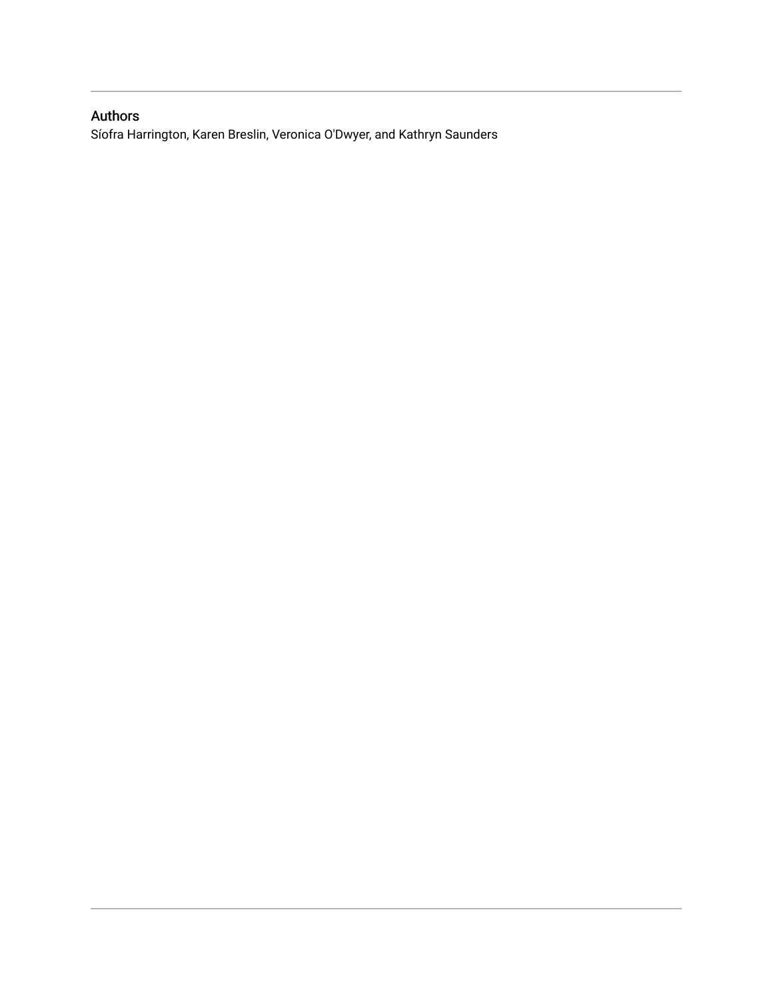### Authors

Síofra Harrington, Karen Breslin, Veronica O'Dwyer, and Kathryn Saunders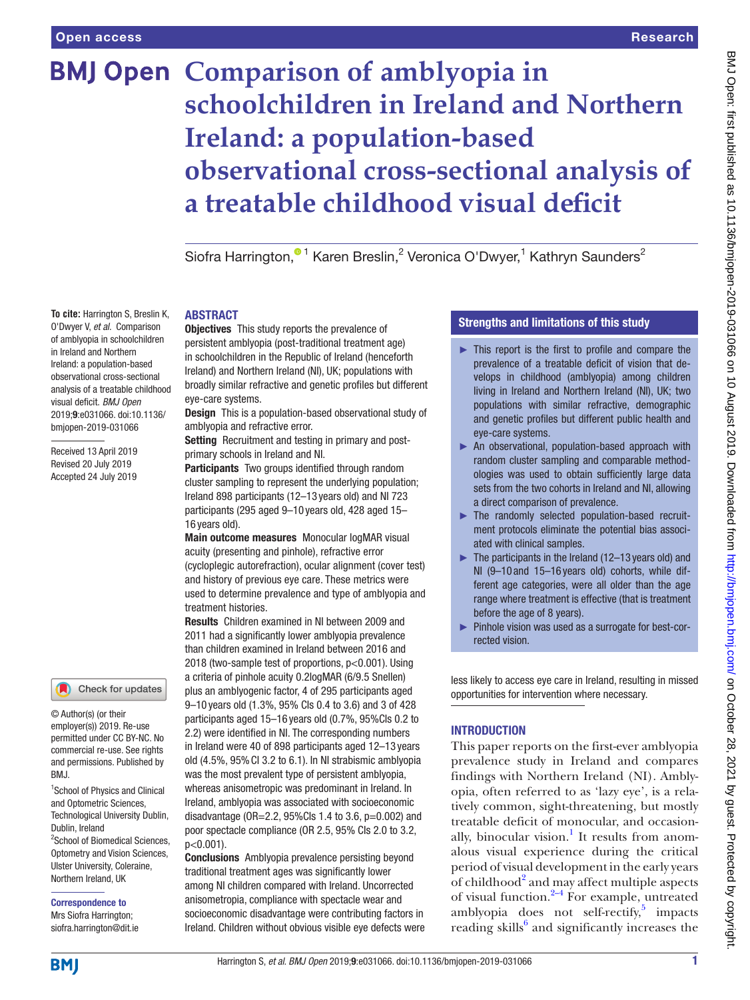O'Dwyer V, *et al*. Comparison of amblyopia in schoolchildren in Ireland and Northern Ireland: a population-based observational cross-sectional analysis of a treatable childhood visual deficit. *BMJ Open* 2019;9:e031066. doi:10.1136/ bmjopen-2019-031066 Received 13 April 2019 Revised 20 July 2019 Accepted 24 July 2019

# **BMJ Open Comparison of amblyopia in schoolchildren in Ireland and Northern Ireland: a population-based observational cross-sectional analysis of a treatable childhood visual deficit**

Siofra Harrington,<sup>® 1</sup> Karen Breslin,<sup>2</sup> Veronica O'Dwyer,<sup>1</sup> Kathryn Saunders<sup>2</sup>

#### **To cite:** Harrington S, Breslin K, **ABSTRACT**

**Objectives** This study reports the prevalence of persistent amblyopia (post-traditional treatment age) in schoolchildren in the Republic of Ireland (henceforth Ireland) and Northern Ireland (NI), UK; populations with broadly similar refractive and genetic profiles but different eye-care systems.

Design This is a population-based observational study of amblyopia and refractive error.

Setting Recruitment and testing in primary and postprimary schools in Ireland and NI.

Participants Two groups identified through random cluster sampling to represent the underlying population; Ireland 898 participants (12–13 years old) and NI 723 participants (295 aged 9–10 years old, 428 aged 15– 16 years old).

Main outcome measures Monocular logMAR visual acuity (presenting and pinhole), refractive error (cycloplegic autorefraction), ocular alignment (cover test) and history of previous eye care. These metrics were used to determine prevalence and type of amblyopia and treatment histories.

Results Children examined in NI between 2009 and 2011 had a significantly lower amblyopia prevalence than children examined in Ireland between 2016 and 2018 (two-sample test of proportions, p<0.001). Using a criteria of pinhole acuity 0.2logMAR (6/9.5 Snellen) plus an amblyogenic factor, 4 of 295 participants aged 9–10 years old (1.3%, 95% CIs 0.4 to 3.6) and 3 of 428 participants aged 15–16 years old (0.7%, 95%CIs 0.2 to 2.2) were identified in NI. The corresponding numbers in Ireland were 40 of 898 participants aged 12–13 years old (4.5%, 95%CI 3.2 to 6.1). In NI strabismic amblyopia was the most prevalent type of persistent amblyopia, whereas anisometropic was predominant in Ireland. In Ireland, amblyopia was associated with socioeconomic disadvantage ( $OR = 2.2$ ,  $95\%$ Cls 1.4 to 3.6,  $p = 0.002$ ) and poor spectacle compliance (OR 2.5, 95% CIs 2.0 to 3.2,  $n < 0.001$ ).

Conclusions Amblyopia prevalence persisting beyond traditional treatment ages was significantly lower among NI children compared with Ireland. Uncorrected anisometropia, compliance with spectacle wear and socioeconomic disadvantage were contributing factors in Ireland. Children without obvious visible eye defects were

#### Strengths and limitations of this study

- $\blacktriangleright$  This report is the first to profile and compare the prevalence of a treatable deficit of vision that develops in childhood (amblyopia) among children living in Ireland and Northern Ireland (NI), UK; two populations with similar refractive, demographic and genetic profiles but different public health and eye-care systems.
- ► An observational, population-based approach with random cluster sampling and comparable methodologies was used to obtain sufficiently large data sets from the two cohorts in Ireland and NI, allowing a direct comparison of prevalence.
- ► The randomly selected population-based recruitment protocols eliminate the potential bias associated with clinical samples.
- $\blacktriangleright$  The participants in the Ireland (12–13 years old) and NI (9–10 and 15–16 years old) cohorts, while different age categories, were all older than the age range where treatment is effective (that is treatment before the age of 8 years).
- ► Pinhole vision was used as a surrogate for best-corrected vision.

less likely to access eye care in Ireland, resulting in missed opportunities for intervention where necessary.

#### **INTRODUCTION**

This paper reports on the first-ever amblyopia prevalence study in Ireland and compares findings with Northern Ireland (NI). Amblyopia, often referred to as 'lazy eye', is a relatively common, sight-threatening, but mostly treatable deficit of monocular, and occasionally, binocular vision.<sup>1</sup> It results from anomalous visual experience during the critical period of visual development in the early years of childhood<sup>[2](#page-11-1)</sup> and may affect multiple aspects of visual function. $2-4$  For example, untreated amblyopia does not self-rectify, $5$  impacts reading skills<sup>6</sup> and significantly increases the

**BMI** 

Dublin, Ireland

BMJ.

© Author(s) (or their employer(s)) 2019. Re-use permitted under CC BY-NC. No commercial re-use. See rights and permissions. Published by

1 School of Physics and Clinical and Optometric Sciences, Technological University Dublin,

Check for updates

<sup>2</sup>School of Biomedical Sciences, Optometry and Vision Sciences, Ulster University, Coleraine, Northern Ireland, UK Correspondence to Mrs Siofra Harrington; siofra.harrington@dit.ie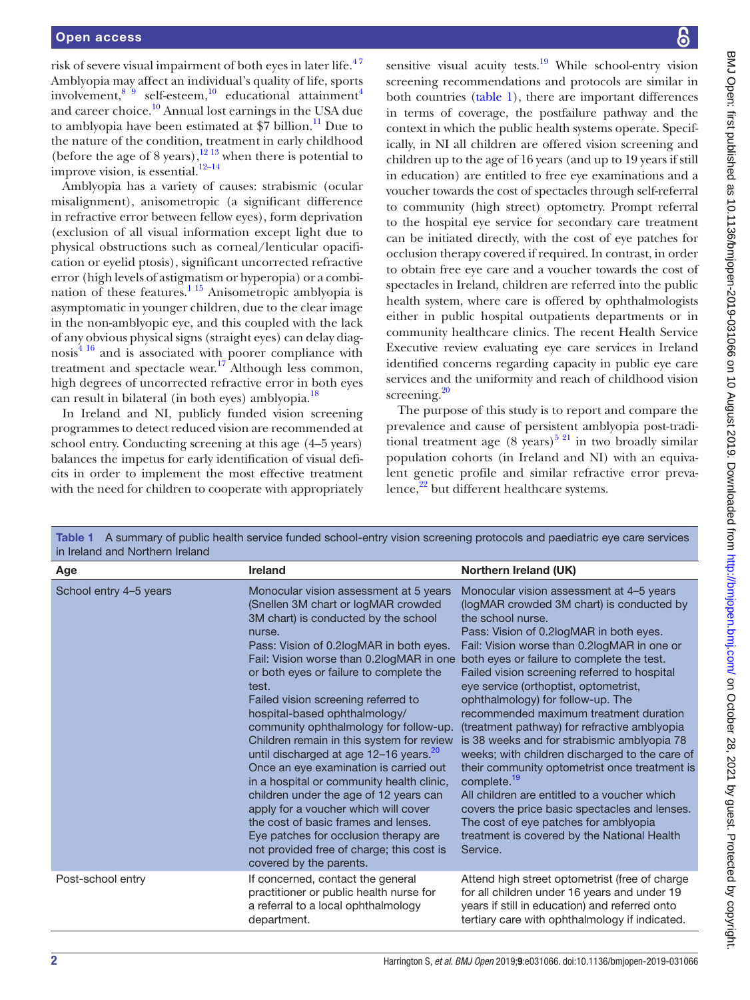risk of severe visual impairment of both eyes in later life.<sup>47</sup> Amblyopia may affect an individual's quality of life, sports involvement,  $8^{9}$  self-esteem,  $10^{10}$  educational attainment<sup>[4](#page-11-6)</sup> and career choice.<sup>[10](#page-11-8)</sup> Annual lost earnings in the USA due to amblyopia have been estimated at  $$7$  billion.<sup>[11](#page-11-9)</sup> Due to the nature of the condition, treatment in early childhood (before the age of 8 years), $\frac{1213}{12}$  when there is potential to improve vision, is essential.<sup>12-14</sup>

Amblyopia has a variety of causes: strabismic (ocular misalignment), anisometropic (a significant difference in refractive error between fellow eyes), form deprivation (exclusion of all visual information except light due to physical obstructions such as corneal/lenticular opacification or eyelid ptosis), significant uncorrected refractive error (high levels of astigmatism or hyperopia) or a combination of these features.<sup>1 15</sup> Anisometropic amblyopia is asymptomatic in younger children, due to the clear image in the non-amblyopic eye, and this coupled with the lack of any obvious physical signs (straight eyes) can delay diagnosis[4 16](#page-11-6) and is associated with poorer compliance with treatment and spectacle wear.<sup>[17](#page-11-11)</sup> Although less common, high degrees of uncorrected refractive error in both eyes can result in bilateral (in both eyes) amblyopia.<sup>18</sup>

In Ireland and NI, publicly funded vision screening programmes to detect reduced vision are recommended at school entry. Conducting screening at this age (4–5 years) balances the impetus for early identification of visual deficits in order to implement the most effective treatment with the need for children to cooperate with appropriately

sensitive visual acuity tests. $19$  While school-entry vision screening recommendations and protocols are similar in both countries [\(table](#page-3-0) 1), there are important differences in terms of coverage, the postfailure pathway and the context in which the public health systems operate. Specifically, in NI all children are offered vision screening and children up to the age of 16 years (and up to 19 years if still in education) are entitled to free eye examinations and a voucher towards the cost of spectacles through self-referral to community (high street) optometry. Prompt referral to the hospital eye service for secondary care treatment can be initiated directly, with the cost of eye patches for occlusion therapy covered if required. In contrast, in order to obtain free eye care and a voucher towards the cost of spectacles in Ireland, children are referred into the public health system, where care is offered by ophthalmologists either in public hospital outpatients departments or in community healthcare clinics. The recent Health Service Executive review evaluating eye care services in Ireland identified concerns regarding capacity in public eye care services and the uniformity and reach of childhood vision screening. $20$ 

The purpose of this study is to report and compare the prevalence and cause of persistent amblyopia post-traditional treatment age  $(8 \text{ years})^{521}$  in two broadly similar population cohorts (in Ireland and NI) with an equivalent genetic profile and similar refractive error prevalence, $2^2$  but different healthcare systems.

<span id="page-3-0"></span>

| in Ireland and Northern Ireland |                                                                                                                                                                                                                                                                                                                                                                                                                                                                                                                                                                                                                                                                                                                                                                                       | Table 1 A summary of public health service funded school-entry vision screening protocols and paediatric eye care services                                                                                                                                                                                                                                                                                                                                                                                                                                                                                                                                                                                                                                                                                                                                                                            |
|---------------------------------|---------------------------------------------------------------------------------------------------------------------------------------------------------------------------------------------------------------------------------------------------------------------------------------------------------------------------------------------------------------------------------------------------------------------------------------------------------------------------------------------------------------------------------------------------------------------------------------------------------------------------------------------------------------------------------------------------------------------------------------------------------------------------------------|-------------------------------------------------------------------------------------------------------------------------------------------------------------------------------------------------------------------------------------------------------------------------------------------------------------------------------------------------------------------------------------------------------------------------------------------------------------------------------------------------------------------------------------------------------------------------------------------------------------------------------------------------------------------------------------------------------------------------------------------------------------------------------------------------------------------------------------------------------------------------------------------------------|
| Age                             | Ireland                                                                                                                                                                                                                                                                                                                                                                                                                                                                                                                                                                                                                                                                                                                                                                               | Northern Ireland (UK)                                                                                                                                                                                                                                                                                                                                                                                                                                                                                                                                                                                                                                                                                                                                                                                                                                                                                 |
| School entry 4-5 years          | Monocular vision assessment at 5 years<br>(Snellen 3M chart or logMAR crowded<br>3M chart) is conducted by the school<br>nurse.<br>Pass: Vision of 0.2logMAR in both eyes.<br>or both eyes or failure to complete the<br>test.<br>Failed vision screening referred to<br>hospital-based ophthalmology/<br>community ophthalmology for follow-up.<br>Children remain in this system for review<br>until discharged at age 12-16 years. <sup>20</sup><br>Once an eye examination is carried out<br>in a hospital or community health clinic,<br>children under the age of 12 years can<br>apply for a voucher which will cover<br>the cost of basic frames and lenses.<br>Eye patches for occlusion therapy are<br>not provided free of charge; this cost is<br>covered by the parents. | Monocular vision assessment at 4-5 years<br>(logMAR crowded 3M chart) is conducted by<br>the school nurse.<br>Pass: Vision of 0.2logMAR in both eyes.<br>Fail: Vision worse than 0.2logMAR in one or<br>Fail: Vision worse than 0.2logMAR in one both eyes or failure to complete the test.<br>Failed vision screening referred to hospital<br>eye service (orthoptist, optometrist,<br>ophthalmology) for follow-up. The<br>recommended maximum treatment duration<br>(treatment pathway) for refractive amblyopia<br>is 38 weeks and for strabismic amblyopia 78<br>weeks; with children discharged to the care of<br>their community optometrist once treatment is<br>complete. <sup>19</sup><br>All children are entitled to a voucher which<br>covers the price basic spectacles and lenses.<br>The cost of eye patches for amblyopia<br>treatment is covered by the National Health<br>Service. |
| Post-school entry               | If concerned, contact the general<br>practitioner or public health nurse for<br>a referral to a local ophthalmology<br>department.                                                                                                                                                                                                                                                                                                                                                                                                                                                                                                                                                                                                                                                    | Attend high street optometrist (free of charge<br>for all children under 16 years and under 19<br>years if still in education) and referred onto<br>tertiary care with ophthalmology if indicated.                                                                                                                                                                                                                                                                                                                                                                                                                                                                                                                                                                                                                                                                                                    |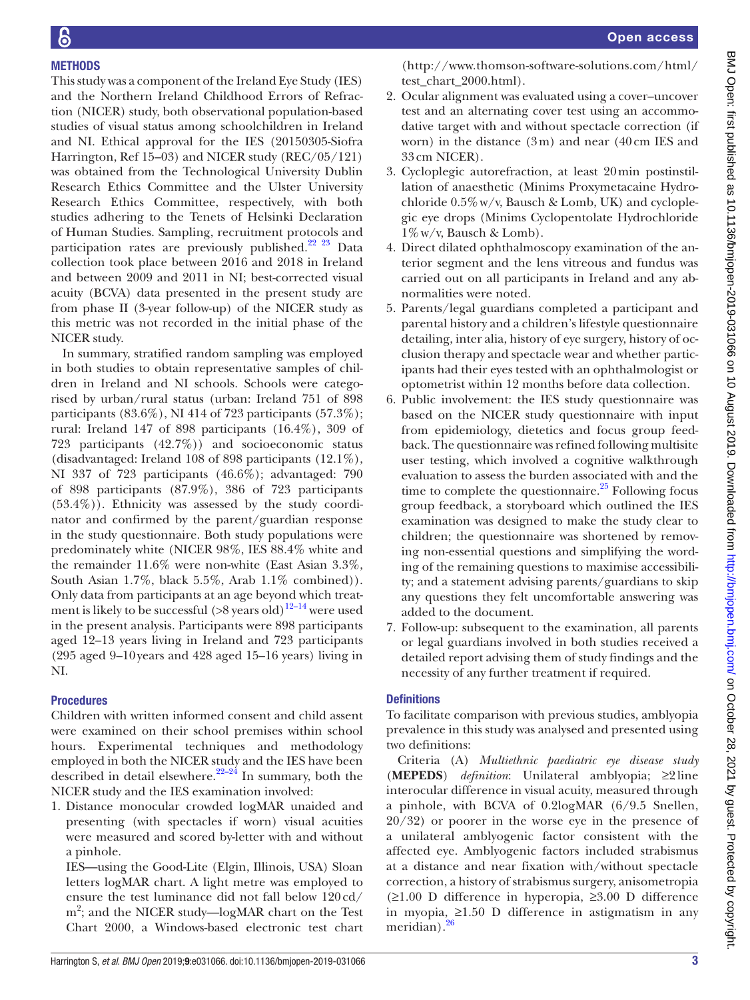#### **METHODS**

This study was a component of the Ireland Eye Study (IES) and the Northern Ireland Childhood Errors of Refraction (NICER) study, both observational population-based studies of visual status among schoolchildren in Ireland and NI. Ethical approval for the IES (20150305-Siofra Harrington, Ref 15–03) and NICER study (REC/05/121) was obtained from the Technological University Dublin Research Ethics Committee and the Ulster University Research Ethics Committee, respectively, with both studies adhering to the Tenets of Helsinki Declaration of Human Studies. Sampling, recruitment protocols and participation rates are previously published.<sup>22</sup> <sup>23</sup> Data collection took place between 2016 and 2018 in Ireland and between 2009 and 2011 in NI; best-corrected visual acuity (BCVA) data presented in the present study are from phase II (3-year follow-up) of the NICER study as this metric was not recorded in the initial phase of the NICER study.

In summary, stratified random sampling was employed in both studies to obtain representative samples of children in Ireland and NI schools. Schools were categorised by urban/rural status (urban: Ireland 751 of 898 participants (83.6%), NI 414 of 723 participants (57.3%); rural: Ireland 147 of 898 participants (16.4%), 309 of 723 participants (42.7%)) and socioeconomic status (disadvantaged: Ireland 108 of 898 participants (12.1%), NI 337 of 723 participants (46.6%); advantaged: 790 of 898 participants (87.9%), 386 of 723 participants  $(53.4\%)$ ). Ethnicity was assessed by the study coordinator and confirmed by the parent/guardian response in the study questionnaire. Both study populations were predominately white (NICER 98%, IES 88.4% white and the remainder 11.6% were non-white (East Asian 3.3%, South Asian 1.7%, black 5.5%, Arab 1.1% combined)). Only data from participants at an age beyond which treatment is likely to be successful  $($ >8 years old $)$ <sup>12–14</sup> were used in the present analysis. Participants were 898 participants aged 12–13 years living in Ireland and 723 participants (295 aged 9–10years and 428 aged 15–16 years) living in NI.

#### Procedures

Children with written informed consent and child assent were examined on their school premises within school hours. Experimental techniques and methodology employed in both the NICER study and the IES have been described in detail elsewhere.<sup>22–24</sup> In summary, both the NICER study and the IES examination involved:

1. Distance monocular crowded logMAR unaided and presenting (with spectacles if worn) visual acuities were measured and scored by-letter with and without a pinhole.

IES—using the Good-Lite (Elgin, Illinois, USA) Sloan letters logMAR chart. A light metre was employed to ensure the test luminance did not fall below 120cd/ m<sup>2</sup>; and the NICER study—logMAR chart on the Test Chart 2000, a Windows-based electronic test chart

[\(http://www.thomson-software-s](http://www.thomson-software-)olutions.com/html/ test\_chart\_2000.html).

- 2. Ocular alignment was evaluated using a cover–uncover test and an alternating cover test using an accommodative target with and without spectacle correction (if worn) in the distance (3m) and near (40cm IES and 33cm NICER).
- 3. Cycloplegic autorefraction, at least 20min postinstillation of anaesthetic (Minims Proxymetacaine Hydrochloride  $0.5\%$  w/v, Bausch & Lomb, UK) and cycloplegic eye drops (Minims Cyclopentolate Hydrochloride 1%w/v, Bausch & Lomb).
- 4. Direct dilated ophthalmoscopy examination of the anterior segment and the lens vitreous and fundus was carried out on all participants in Ireland and any abnormalities were noted.
- 5. Parents/legal guardians completed a participant and parental history and a children's lifestyle questionnaire detailing, inter alia, history of eye surgery, history of occlusion therapy and spectacle wear and whether participants had their eyes tested with an ophthalmologist or optometrist within 12 months before data collection.
- 6. Public involvement: the IES study questionnaire was based on the NICER study questionnaire with input from epidemiology, dietetics and focus group feedback. The questionnaire was refined following multisite user testing, which involved a cognitive walkthrough evaluation to assess the burden associated with and the time to complete the questionnaire. $^{25}$  Following focus group feedback, a storyboard which outlined the IES examination was designed to make the study clear to children; the questionnaire was shortened by removing non-essential questions and simplifying the wording of the remaining questions to maximise accessibility; and a statement advising parents/guardians to skip any questions they felt uncomfortable answering was added to the document.
- 7. Follow-up: subsequent to the examination, all parents or legal guardians involved in both studies received a detailed report advising them of study findings and the necessity of any further treatment if required.

#### **Definitions**

To facilitate comparison with previous studies, amblyopia prevalence in this study was analysed and presented using two definitions:

Criteria (A) *Multiethnic paediatric eye disease study* (**MEPEDS**) *definition*: Unilateral amblyopia; ≥2 line interocular difference in visual acuity, measured through a pinhole, with BCVA of 0.2logMAR (6/9.5 Snellen, 20/32) or poorer in the worse eye in the presence of a unilateral amblyogenic factor consistent with the affected eye. Amblyogenic factors included strabismus at a distance and near fixation with/without spectacle correction, a history of strabismus surgery, anisometropia (≥1.00 D difference in hyperopia, ≥3.00 D difference in myopia, ≥1.50 D difference in astigmatism in any meridian). $26$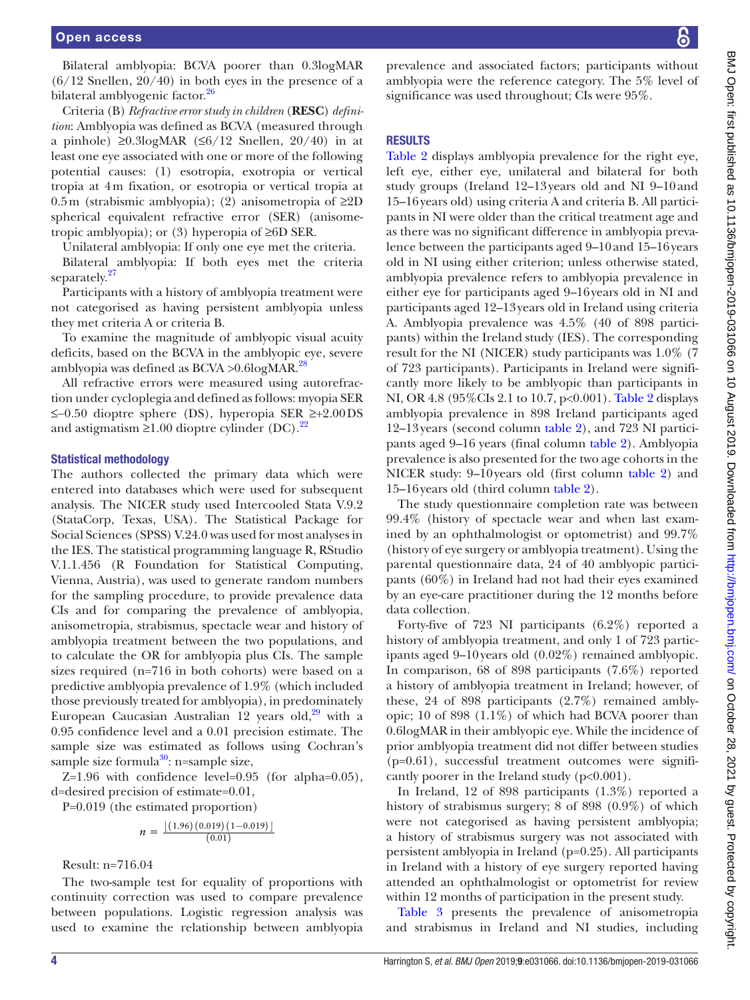Bilateral amblyopia: BCVA poorer than 0.3logMAR  $(6/12$  Snellen,  $20/40$ ) in both eyes in the presence of a bilateral amblyogenic factor.<sup>[26](#page-11-15)</sup>

Criteria (B) *Refractive error study in children* (**RESC**) *definition*: Amblyopia was defined as BCVA (measured through a pinhole) ≥0.3logMAR (≤6/12 Snellen, 20/40) in at least one eye associated with one or more of the following potential causes: (1) esotropia, exotropia or vertical tropia at 4m fixation, or esotropia or vertical tropia at 0.5m (strabismic amblyopia); (2) anisometropia of  $\geq 2D$ spherical equivalent refractive error (SER) (anisometropic amblyopia); or (3) hyperopia of ≥6D SER.

Unilateral amblyopia: If only one eye met the criteria.

Bilateral amblyopia: If both eyes met the criteria separately.<sup>[27](#page-11-16)</sup>

Participants with a history of amblyopia treatment were not categorised as having persistent amblyopia unless they met criteria A or criteria B.

To examine the magnitude of amblyopic visual acuity deficits, based on the BCVA in the amblyopic eye, severe amblyopia was defined as  $BCVA > 0.6$ logMAR.<sup>28</sup>

All refractive errors were measured using autorefraction under cycloplegia and defined as follows: myopia SER ≤−0.50 dioptre sphere (DS), hyperopia SER ≥+2.00DS and astigmatism  $\geq 1.00$  dioptre cylinder (DC).<sup>[22](#page-11-13)</sup>

#### Statistical methodology

The authors collected the primary data which were entered into databases which were used for subsequent analysis. The NICER study used Intercooled Stata V.9.2 (StataCorp, Texas, USA). The Statistical Package for Social Sciences (SPSS) V.24.0 was used for most analyses in the IES. The statistical programming language R, RStudio V.1.1.456 (R Foundation for Statistical Computing, Vienna, Austria), was used to generate random numbers for the sampling procedure, to provide prevalence data CIs and for comparing the prevalence of amblyopia, anisometropia, strabismus, spectacle wear and history of amblyopia treatment between the two populations, and to calculate the OR for amblyopia plus CIs. The sample sizes required (n=716 in both cohorts) were based on a predictive amblyopia prevalence of 1.9% (which included those previously treated for amblyopia), in predominately European Caucasian Australian 12 years old, $29$  with a 0.95 confidence level and a 0.01 precision estimate. The sample size was estimated as follows using Cochran's sample size formula $30$ : n=sample size,

Z=1.96 with confidence level=0.95 (for alpha=0.05), d=desired precision of estimate=0.01,

P=0.019 (the estimated proportion)

$$
n = \frac{\left[ (1.96) (0.019) (1 - 0.019) \right]}{(0.01)}
$$

Result: n=716.04

The two-sample test for equality of proportions with continuity correction was used to compare prevalence between populations. Logistic regression analysis was used to examine the relationship between amblyopia

prevalence and associated factors; participants without amblyopia were the reference category. The 5% level of significance was used throughout; CIs were 95%.

#### **RESULTS**

[Table](#page-6-0) 2 displays amblyopia prevalence for the right eye, left eye, either eye, unilateral and bilateral for both study groups (Ireland 12–13years old and NI 9–10and 15–16years old) using criteria A and criteria B. All participants in NI were older than the critical treatment age and as there was no significant difference in amblyopia prevalence between the participants aged 9–10and 15–16years old in NI using either criterion; unless otherwise stated, amblyopia prevalence refers to amblyopia prevalence in either eye for participants aged 9–16years old in NI and participants aged 12–13years old in Ireland using criteria A. Amblyopia prevalence was 4.5% (40 of 898 participants) within the Ireland study (IES). The corresponding result for the NI (NICER) study participants was 1.0% (7 of 723 participants). Participants in Ireland were significantly more likely to be amblyopic than participants in NI, OR 4.8 (95%CIs 2.1 to 10.7, p<0.001). [Table](#page-6-0) 2 displays amblyopia prevalence in 898 Ireland participants aged 12–13years (second column [table](#page-6-0) 2), and 723 NI participants aged 9–16 years (final column [table](#page-6-0) 2). Amblyopia prevalence is also presented for the two age cohorts in the NICER study: 9–10years old (first column [table](#page-6-0) 2) and 15–16years old (third column [table](#page-6-0) 2).

The study questionnaire completion rate was between 99.4% (history of spectacle wear and when last examined by an ophthalmologist or optometrist) and 99.7% (history of eye surgery or amblyopia treatment). Using the parental questionnaire data, 24 of 40 amblyopic participants (60%) in Ireland had not had their eyes examined by an eye-care practitioner during the 12 months before data collection.

Forty-five of 723 NI participants (6.2%) reported a history of amblyopia treatment, and only 1 of 723 participants aged 9–10years old (0.02%) remained amblyopic. In comparison, 68 of 898 participants (7.6%) reported a history of amblyopia treatment in Ireland; however, of these, 24 of 898 participants (2.7%) remained amblyopic; 10 of 898 (1.1%) of which had BCVA poorer than 0.6logMAR in their amblyopic eye. While the incidence of prior amblyopia treatment did not differ between studies (p=0.61), successful treatment outcomes were significantly poorer in the Ireland study  $(p<0.001)$ .

In Ireland, 12 of 898 participants (1.3%) reported a history of strabismus surgery; 8 of 898 (0.9%) of which were not categorised as having persistent amblyopia; a history of strabismus surgery was not associated with persistent amblyopia in Ireland (p=0.25). All participants in Ireland with a history of eye surgery reported having attended an ophthalmologist or optometrist for review within 12 months of participation in the present study.

[Table](#page-7-0) 3 presents the prevalence of anisometropia and strabismus in Ireland and NI studies, including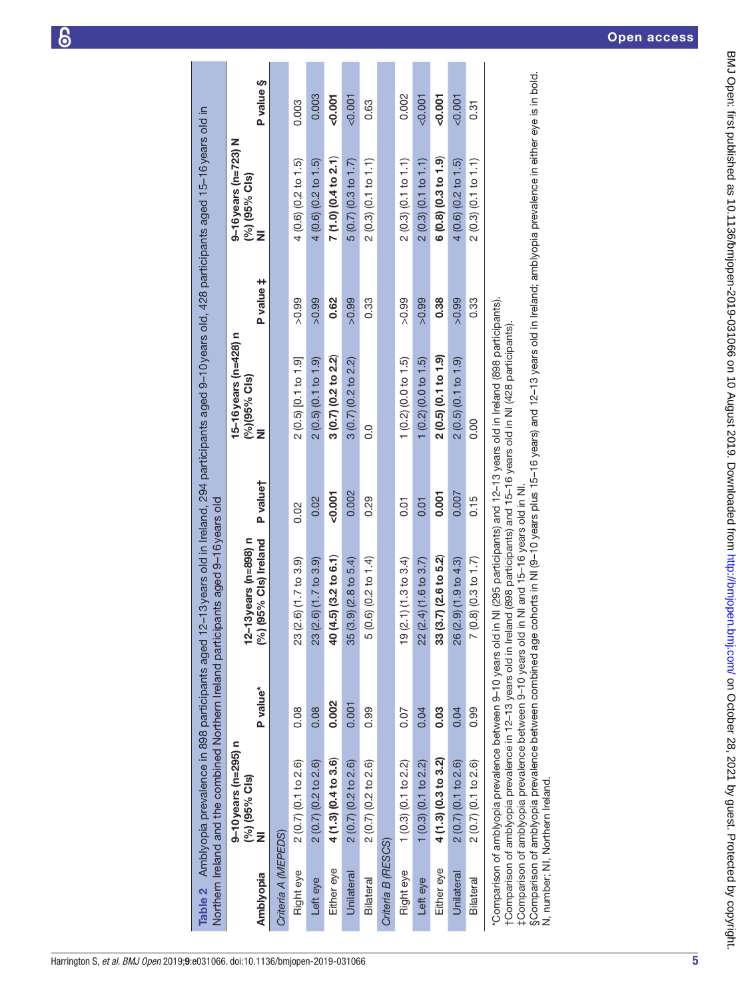| Table 2 Amblyopia prevalence in 898 participants<br>Northern Ireland and the combined Northern Irela | ticipants aged 9-16 years old | d 12-13 years old in Ireland, 294 participants aged 9-10 years old, 428 participants aged 15-16 years old in |                                                                                                                                                                                                                                                                                      |
|------------------------------------------------------------------------------------------------------|-------------------------------|--------------------------------------------------------------------------------------------------------------|--------------------------------------------------------------------------------------------------------------------------------------------------------------------------------------------------------------------------------------------------------------------------------------|
| $9-10$ years (n=295) n                                                                               |                               | 15-16 years (n=428) n                                                                                        | 9-16 years (n=723) N                                                                                                                                                                                                                                                                 |
| $\frac{1}{2}$                                                                                        | -- המחיר ו-- ו- המחיר הו      | 10/10E0/011                                                                                                  | $\sim$ 10 $\sim$ 10 $\sim$ 10 $\sim$ 10 $\sim$ 10 $\sim$ 10 $\sim$ 10 $\sim$ 10 $\sim$ 10 $\sim$ 10 $\sim$ 10 $\sim$ 10 $\sim$ 10 $\sim$ 10 $\sim$ 10 $\sim$ 10 $\sim$ 10 $\sim$ 10 $\sim$ 10 $\sim$ 10 $\sim$ 10 $\sim$ 10 $\sim$ 10 $\sim$ 10 $\sim$ 10 $\sim$ 10 $\sim$ 10 $\sim$ |

|                     | $9 - 10$ years (n=295) n<br>$(%)$ (95% Cls)                |              | 12-13 years (n=898) n                                                                                                             |          | $15 - 16$ years (n=428) n<br>$(%)$ (95% Cls)                                |           | $9-16$ years (n=723) N<br>$(%)$ (95% Cls) |           |
|---------------------|------------------------------------------------------------|--------------|-----------------------------------------------------------------------------------------------------------------------------------|----------|-----------------------------------------------------------------------------|-----------|-------------------------------------------|-----------|
| Amblyopia           | ž                                                          | P value*     | (%) (95% Cls) Ireland                                                                                                             | P valuet | ž                                                                           | P value ‡ | ž                                         | P value § |
| Criteria A (MEPEDS) |                                                            |              |                                                                                                                                   |          |                                                                             |           |                                           |           |
| Right eye           | $2(0.7)(0.1)$ to $2.6$                                     | 0.08         | $(2.6)$ $(1.7)$ to 3.9<br>23                                                                                                      | 0.02     | 2(0.5)[0.1 to 1.9]                                                          | >0.99     | 4(0.6)(0.2 to 1.5)                        | 0.003     |
| Left eye            | $2(0.7)(0.2 \text{ to } 2.6)$                              | 0.08         | $(2.6)$ $(1.7)$ to $3.9$<br>23                                                                                                    | 0.02     | 2(0.5)(0.1 to 1.9)                                                          | >0.99     | 4(0.6)(0.2 to 1.5)                        | 0.003     |
| Either eye          | 4 (1.3) (0.4 to 3.6)                                       | 0.002        | $(4.5)$ $(3.2 \text{ to } 6.1)$<br><del>d</del>                                                                                   | $-0.001$ | $3(0.7)(0.2)$ to $2.2)$                                                     | 0.62      | 7 (1.0) (0.4 to 2.1)                      | 500,00    |
| Unilateral          | $2(0.7)(0.2)$ to $2.6$                                     | 0.001        | $(3.9)$ $(2.8 \text{ to } 5.4)$<br>35                                                                                             | 0.002    | $3(0.7)(0.2)$ to $2.2)$                                                     | >0.99     | $5(0.7)(0.3 \text{ to } 1.7)$             | $-0.001$  |
| Bilateral           | 2 (0.7) (0.2 to 2.6)                                       | 0.99         | $(0.6)$ $(0.2 \text{ to } 1.4)$<br>5                                                                                              | 0.29     | o.o                                                                         | 0.33      | 2(0.3)(0.1 to 1.1)                        | 0.63      |
| Criteria B (RESCS)  |                                                            |              |                                                                                                                                   |          |                                                                             |           |                                           |           |
| Right eye           | $1(0.3)(0.1)$ to 2.2)                                      | 0.07         | $(2.1)$ (1.3 to 3.4)<br><u>စု</u>                                                                                                 | 0.01     | 1(0.2)(0.0 to 1.5)                                                          | >0.99     | 2(0.3)(0.1 to 1.1)                        | 0.002     |
| Left eye            | $1(0.3)(0.1)$ to 2.2)                                      | 0.04         | 22 (2.4) (1.6 to 3.7)                                                                                                             | 0.01     | $(0.2)$ $(0.0 t \sigma 1.5)$                                                | >0.99     | 2(0.3)(0.1 to 1.1)                        | 500,007   |
| Either eye          | 4 (1.3) (0.3 to 3.2)                                       | <b>89.03</b> | $(3.7)$ $(2.6 \text{ to } 5.2)$<br>က္က                                                                                            | 0.001    | 2(0.5)(0.1 to 1.9)                                                          | 0.38      | 6(0.8)(0.3 to 1.9)                        | $-0.001$  |
| Unilateral          | $2(0.7)(0.1)$ to $2.6$                                     | 0.04         | $(2.9)$ $(1.9)$ to 4.3)<br>26                                                                                                     | 0.007    | 2(0.5)(0.1 to 1.9)                                                          | >0.99     | 4(0.6)(0.2 to 1.5)                        | $-0.001$  |
| Bilateral           | 2(0.7)(0.1 to 2.6)                                         | 0.99         | $(0.8)$ $(0.3$ to 1.7                                                                                                             | 0.15     | $\frac{0}{0}$                                                               | 0.33      | 2(0.3)(0.1 to 1.1)                        | 0.31      |
|                     | "Comparison of amblyopia prevalence between 9-10 years old |              | tComparison of amblyopia prevalence in 12–13 years old in Ireland (898 participants) and 15–16 years old in NI (428 participants) |          | in NI (295 participants) and 12-13 years old in Ireland (898 participants). |           |                                           |           |

†Comparison of amblyopia prevalence in 12–13 years old in Ireland (898 participants) and 15–16 years old in NI (428 participants).

<span id="page-6-0"></span>‡Comparison of amblyopia prevalence between 9–10 years old in NI and 15–16 years old in NI.

ι ∪omparison or arinyyopia prevalence in ⊥z−13 years ord in rietariu (oso participants) and 15−16 years ord in wi(+zo participants).<br>‡Comparison of amblyopia prevalence between 9−10 years old in NI and 15−16 years old in §Comparison of amblyopia prevalence between combined age cohorts in NI (9–10 years plus 15–16 years) and 12–13 years old in Ireland; amblyopia prevalence in either eye is in bold. N, number; NI, Northern Ireland.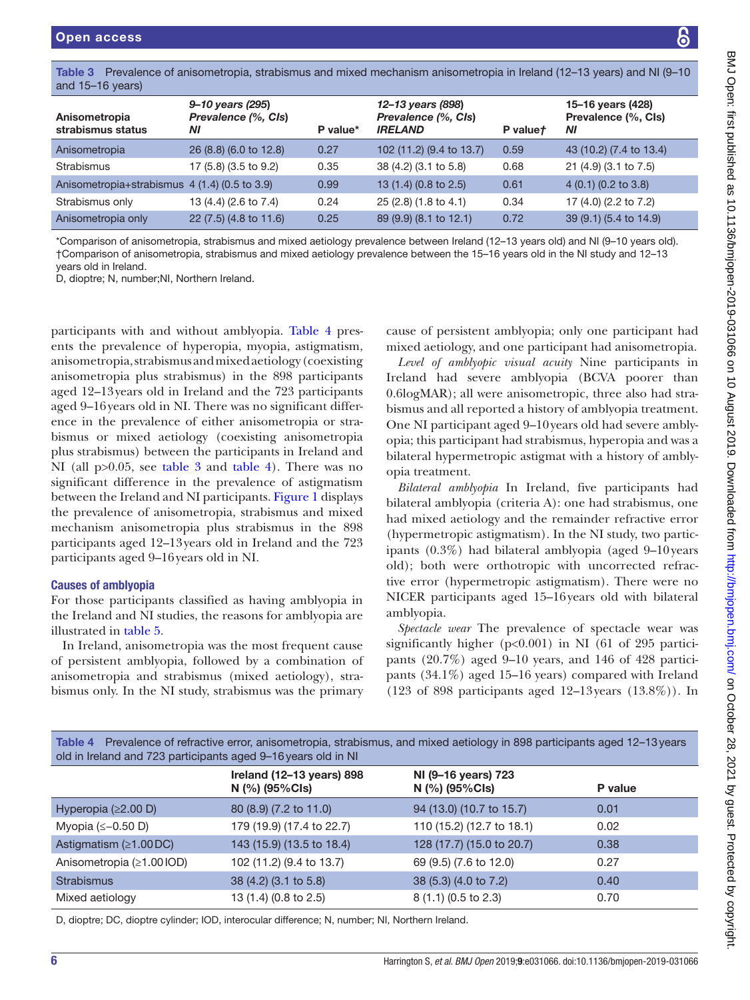<span id="page-7-0"></span>

|                    | Table 3 Prevalence of anisometropia, strabismus and mixed mechanism anisometropia in Ireland (12–13 years) and NJ (9–10 |                   |                   |
|--------------------|-------------------------------------------------------------------------------------------------------------------------|-------------------|-------------------|
| and $15-16$ years) |                                                                                                                         |                   |                   |
|                    | 9–10 years (295)                                                                                                        | 12–13 vears (898) | 15–16 years (428) |

| Anisometropia<br>strabismus status            | 9–10 years (295)<br>Prevalence (%, CIs)<br>ΝI | P value* | 12–13 years (898)<br>Prevalence (%, CIs)<br><b>IRELAND</b> | P valuet | 15–16 years (428)<br>Prevalence (%, CIs)<br>ΝI |
|-----------------------------------------------|-----------------------------------------------|----------|------------------------------------------------------------|----------|------------------------------------------------|
| Anisometropia                                 | 26 (8.8) (6.0 to 12.8)                        | 0.27     | 102 (11.2) (9.4 to 13.7)                                   | 0.59     | 43 (10.2) (7.4 to 13.4)                        |
| Strabismus                                    | 17 (5.8) (3.5 to 9.2)                         | 0.35     | 38 (4.2) (3.1 to 5.8)                                      | 0.68     | 21 (4.9) (3.1 to 7.5)                          |
| Anisometropia+strabismus 4 (1.4) (0.5 to 3.9) |                                               | 0.99     | 13 (1.4) (0.8 to 2.5)                                      | 0.61     | 4(0.1)(0.2 to 3.8)                             |
| Strabismus only                               | 13 (4.4) (2.6 to 7.4)                         | 0.24     | 25 (2.8) (1.8 to 4.1)                                      | 0.34     | 17 (4.0) (2.2 to 7.2)                          |
| Anisometropia only                            | 22 (7.5) (4.8 to 11.6)                        | 0.25     | 89 (9.9) (8.1 to 12.1)                                     | 0.72     | 39 (9.1) (5.4 to 14.9)                         |

\*Comparison of anisometropia, strabismus and mixed aetiology prevalence between Ireland (12–13 years old) and NI (9–10 years old). †Comparison of anisometropia, strabismus and mixed aetiology prevalence between the 15–16 years old in the NI study and 12–13 years old in Ireland.

D, dioptre; N, number;NI, Northern Ireland.

participants with and without amblyopia. [Table](#page-7-1) 4 presents the prevalence of hyperopia, myopia, astigmatism, anisometropia, strabismus and mixed aetiology (coexisting anisometropia plus strabismus) in the 898 participants aged 12–13years old in Ireland and the 723 participants aged 9–16years old in NI. There was no significant difference in the prevalence of either anisometropia or strabismus or mixed aetiology (coexisting anisometropia plus strabismus) between the participants in Ireland and NI (all p>0.05, see [table](#page-7-0) 3 and [table](#page-7-1) 4). There was no significant difference in the prevalence of astigmatism between the Ireland and NI participants. [Figure](#page-8-0) 1 displays the prevalence of anisometropia, strabismus and mixed mechanism anisometropia plus strabismus in the 898 participants aged 12–13years old in Ireland and the 723 participants aged 9–16years old in NI.

#### Causes of amblyopia

For those participants classified as having amblyopia in the Ireland and NI studies, the reasons for amblyopia are illustrated in [table](#page-8-1) 5.

In Ireland, anisometropia was the most frequent cause of persistent amblyopia, followed by a combination of anisometropia and strabismus (mixed aetiology), strabismus only. In the NI study, strabismus was the primary

cause of persistent amblyopia; only one participant had mixed aetiology, and one participant had anisometropia.

*Level of amblyopic visual acuity* Nine participants in Ireland had severe amblyopia (BCVA poorer than 0.6logMAR); all were anisometropic, three also had strabismus and all reported a history of amblyopia treatment. One NI participant aged 9–10years old had severe amblyopia; this participant had strabismus, hyperopia and was a bilateral hypermetropic astigmat with a history of amblyopia treatment.

*Bilateral amblyopia* In Ireland, five participants had bilateral amblyopia (criteria A): one had strabismus, one had mixed aetiology and the remainder refractive error (hypermetropic astigmatism). In the NI study, two participants (0.3%) had bilateral amblyopia (aged 9–10years old); both were orthotropic with uncorrected refractive error (hypermetropic astigmatism). There were no NICER participants aged 15–16years old with bilateral amblyopia.

*Spectacle wear* The prevalence of spectacle wear was significantly higher (p<0.001) in NI (61 of 295 participants (20.7%) aged 9–10 years, and 146 of 428 participants (34.1%) aged 15–16 years) compared with Ireland (123 of 898 participants aged 12–13years (13.8%)). In

<span id="page-7-1"></span>

| Table 4 Prevalence of refractive error, anisometropia, strabismus, and mixed aetiology in 898 participants aged 12-13 years<br>old in Ireland and 723 participants aged 9-16 years old in NI |                                             |                                       |         |  |  |  |
|----------------------------------------------------------------------------------------------------------------------------------------------------------------------------------------------|---------------------------------------------|---------------------------------------|---------|--|--|--|
|                                                                                                                                                                                              | Ireland (12-13 years) 898<br>N (%) (95%Cls) | NI (9-16 years) 723<br>N (%) (95%Cls) | P value |  |  |  |
| Hyperopia $(\geq 2.00 \text{ D})$                                                                                                                                                            | 80 (8.9) (7.2 to 11.0)                      | 94 (13.0) (10.7 to 15.7)              | 0.01    |  |  |  |
| Myopia $(\leq -0.50)$                                                                                                                                                                        | 179 (19.9) (17.4 to 22.7)                   | 110 (15.2) (12.7 to 18.1)             | 0.02    |  |  |  |
| Astigmatism $(≥1.00DC)$                                                                                                                                                                      | 143 (15.9) (13.5 to 18.4)                   | 128 (17.7) (15.0 to 20.7)             | 0.38    |  |  |  |
| Anisometropia (≥1.001OD)                                                                                                                                                                     | 102 (11.2) (9.4 to 13.7)                    | 69 (9.5) (7.6 to 12.0)                | 0.27    |  |  |  |
| <b>Strabismus</b>                                                                                                                                                                            | 38 (4.2) (3.1 to 5.8)                       | 38 (5.3) (4.0 to 7.2)                 | 0.40    |  |  |  |
| Mixed aetiology                                                                                                                                                                              | 13 (1.4) (0.8 to 2.5)                       | 8(1.1)(0.5 to 2.3)                    | 0.70    |  |  |  |
|                                                                                                                                                                                              |                                             |                                       |         |  |  |  |

D, dioptre; DC, dioptre cylinder; IOD, interocular difference; N, number; NI, Northern Ireland.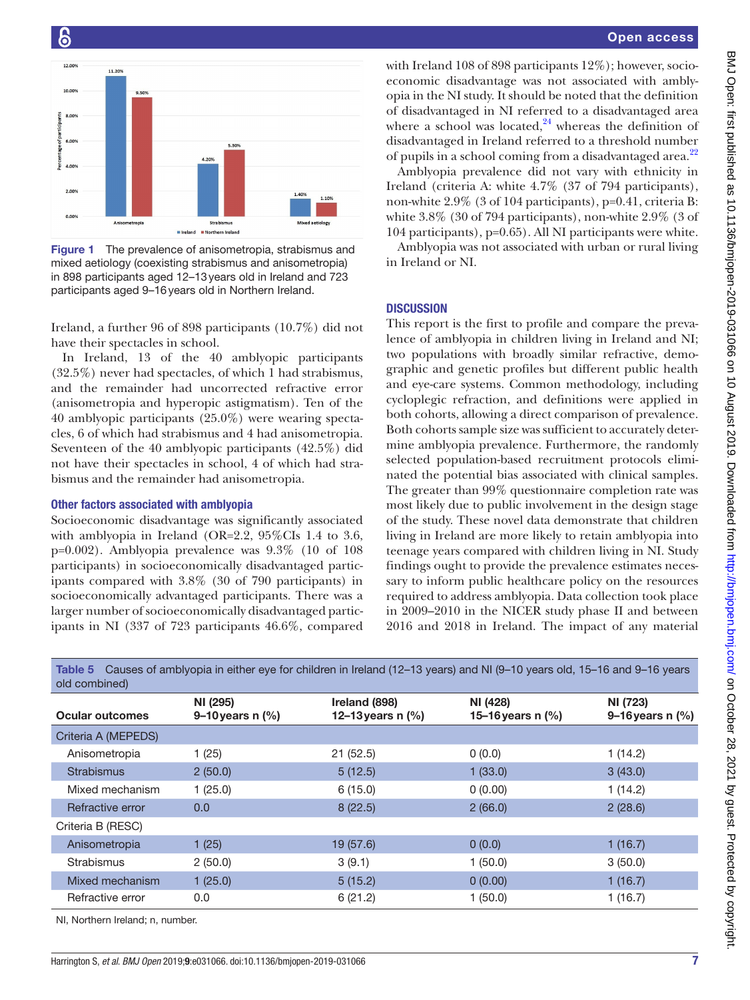

<span id="page-8-0"></span>Figure 1 The prevalence of anisometropia, strabismus and mixed aetiology (coexisting strabismus and anisometropia) in 898 participants aged 12–13years old in Ireland and 723 participants aged 9–16years old in Northern Ireland.

Ireland, a further 96 of 898 participants (10.7%) did not have their spectacles in school.

In Ireland, 13 of the 40 amblyopic participants (32.5%) never had spectacles, of which 1 had strabismus, and the remainder had uncorrected refractive error (anisometropia and hyperopic astigmatism). Ten of the 40 amblyopic participants (25.0%) were wearing spectacles, 6 of which had strabismus and 4 had anisometropia. Seventeen of the 40 amblyopic participants (42.5%) did not have their spectacles in school, 4 of which had strabismus and the remainder had anisometropia.

#### Other factors associated with amblyopia

Socioeconomic disadvantage was significantly associated with amblyopia in Ireland (OR=2.2, 95%CIs 1.4 to 3.6, p=0.002). Amblyopia prevalence was 9.3% (10 of 108 participants) in socioeconomically disadvantaged participants compared with 3.8% (30 of 790 participants) in socioeconomically advantaged participants. There was a larger number of socioeconomically disadvantaged participants in NI (337 of 723 participants 46.6%, compared with Ireland 108 of 898 participants 12%); however, socioeconomic disadvantage was not associated with amblyopia in the NI study. It should be noted that the definition of disadvantaged in NI referred to a disadvantaged area where a school was located, $24$  whereas the definition of disadvantaged in Ireland referred to a threshold number of pupils in a school coming from a disadvantaged area.<sup>[22](#page-11-13)</sup>

Amblyopia prevalence did not vary with ethnicity in Ireland (criteria A: white 4.7% (37 of 794 participants), non-white 2.9% (3 of 104 participants), p=0.41, criteria B: white  $3.8\%$  (30 of 794 participants), non-white  $2.9\%$  (3 of 104 participants), p=0.65). All NI participants were white.

Amblyopia was not associated with urban or rural living in Ireland or NI.

#### **DISCUSSION**

This report is the first to profile and compare the prevalence of amblyopia in children living in Ireland and NI; two populations with broadly similar refractive, demographic and genetic profiles but different public health and eye-care systems. Common methodology, including cycloplegic refraction, and definitions were applied in both cohorts, allowing a direct comparison of prevalence. Both cohorts sample size was sufficient to accurately determine amblyopia prevalence. Furthermore, the randomly selected population-based recruitment protocols eliminated the potential bias associated with clinical samples. The greater than 99% questionnaire completion rate was most likely due to public involvement in the design stage of the study. These novel data demonstrate that children living in Ireland are more likely to retain amblyopia into teenage years compared with children living in NI. Study findings ought to provide the prevalence estimates necessary to inform public healthcare policy on the resources required to address amblyopia. Data collection took place in 2009–2010 in the NICER study phase II and between 2016 and 2018 in Ireland. The impact of any material

| old combined)                    |                                  |                                        |                                   |                                |
|----------------------------------|----------------------------------|----------------------------------------|-----------------------------------|--------------------------------|
| <b>Ocular outcomes</b>           | NI (295)<br>9–10 years n $(\% )$ | Ireland (898)<br>12–13 years n $(\% )$ | NI (428)<br>15–16 years n $(\% )$ | NI (723)<br>9–16 years $n$ (%) |
| Criteria A (MEPEDS)              |                                  |                                        |                                   |                                |
| Anisometropia                    | 1(25)                            | 21(52.5)                               | 0(0.0)                            | 1(14.2)                        |
| <b>Strabismus</b>                | 2(50.0)                          | 5(12.5)                                | 1(33.0)                           | 3(43.0)                        |
| Mixed mechanism                  | 1(25.0)                          | 6(15.0)                                | 0(0.00)                           | 1(14.2)                        |
| Refractive error                 | 0.0 <sub>1</sub>                 | 8(22.5)                                | 2(66.0)                           | 2(28.6)                        |
| Criteria B (RESC)                |                                  |                                        |                                   |                                |
| Anisometropia                    | 1(25)                            | 19 (57.6)                              | 0(0.0)                            | 1(16.7)                        |
| Strabismus                       | 2(50.0)                          | 3(9.1)                                 | 1(50.0)                           | 3(50.0)                        |
| Mixed mechanism                  | 1(25.0)                          | 5(15.2)                                | 0(0.00)                           | 1(16.7)                        |
| Refractive error                 | 0.0                              | 6(21.2)                                | 1(50.0)                           | 1(16.7)                        |
| NI. Northern Ireland: n. number. |                                  |                                        |                                   |                                |

<span id="page-8-1"></span>Table 5 Causes of amblyopia in either eye for children in Ireland (12–13 years) and NI (9–10 years old, 15–16 and 9–16 years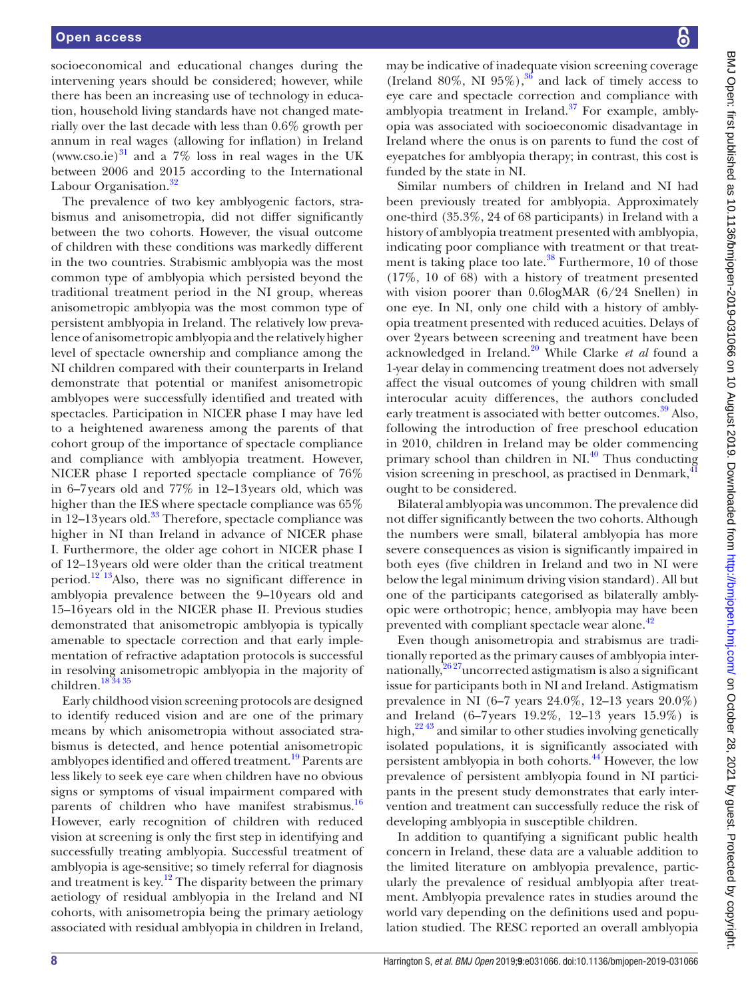socioeconomical and educational changes during the intervening years should be considered; however, while there has been an increasing use of technology in education, household living standards have not changed materially over the last decade with less than 0.6% growth per annum in real wages (allowing for inflation) in Ireland (<www.cso.ie>) $31$  and a 7% loss in real wages in the UK between 2006 and 2015 according to the International Labour Organisation.<sup>[32](#page-11-22)</sup>

The prevalence of two key amblyogenic factors, strabismus and anisometropia, did not differ significantly between the two cohorts. However, the visual outcome of children with these conditions was markedly different in the two countries. Strabismic amblyopia was the most common type of amblyopia which persisted beyond the traditional treatment period in the NI group, whereas anisometropic amblyopia was the most common type of persistent amblyopia in Ireland. The relatively low prevalence of anisometropic amblyopia and the relatively higher level of spectacle ownership and compliance among the NI children compared with their counterparts in Ireland demonstrate that potential or manifest anisometropic amblyopes were successfully identified and treated with spectacles. Participation in NICER phase I may have led to a heightened awareness among the parents of that cohort group of the importance of spectacle compliance and compliance with amblyopia treatment. However, NICER phase I reported spectacle compliance of 76% in 6–7years old and 77% in 12–13years old, which was higher than the IES where spectacle compliance was 65% in 12–13 years old.<sup>33</sup> Therefore, spectacle compliance was higher in NI than Ireland in advance of NICER phase I. Furthermore, the older age cohort in NICER phase I of 12–13years old were older than the critical treatment period.<sup>12'13</sup>Also, there was no significant difference in amblyopia prevalence between the 9–10years old and 15–16years old in the NICER phase II. Previous studies demonstrated that anisometropic amblyopia is typically amenable to spectacle correction and that early implementation of refractive adaptation protocols is successful in resolving anisometropic amblyopia in the majority of children[.18 34 35](#page-11-12)

Early childhood vision screening protocols are designed to identify reduced vision and are one of the primary means by which anisometropia without associated strabismus is detected, and hence potential anisometropic amblyopes identified and offered treatment.<sup>19</sup> Parents are less likely to seek eye care when children have no obvious signs or symptoms of visual impairment compared with parents of children who have manifest strabismus.<sup>16</sup> However, early recognition of children with reduced vision at screening is only the first step in identifying and successfully treating amblyopia. Successful treatment of amblyopia is age-sensitive; so timely referral for diagnosis and treatment is key.<sup>12</sup> The disparity between the primary aetiology of residual amblyopia in the Ireland and NI cohorts, with anisometropia being the primary aetiology associated with residual amblyopia in children in Ireland,

may be indicative of inadequate vision screening coverage (Ireland 80%, NI 95%),<sup>[36](#page-11-25)</sup> and lack of timely access to eye care and spectacle correction and compliance with amblyopia treatment in Ireland. $37$  For example, amblyopia was associated with socioeconomic disadvantage in Ireland where the onus is on parents to fund the cost of eyepatches for amblyopia therapy; in contrast, this cost is funded by the state in NI.

Similar numbers of children in Ireland and NI had been previously treated for amblyopia. Approximately one-third (35.3%, 24 of 68 participants) in Ireland with a history of amblyopia treatment presented with amblyopia, indicating poor compliance with treatment or that treatment is taking place too late. $38$  Furthermore, 10 of those (17%, 10 of 68) with a history of treatment presented with vision poorer than 0.6logMAR (6/24 Snellen) in one eye. In NI, only one child with a history of amblyopia treatment presented with reduced acuities. Delays of over 2years between screening and treatment have been acknowledged in Ireland.[20](#page-11-4) While Clarke *et al* found a 1-year delay in commencing treatment does not adversely affect the visual outcomes of young children with small interocular acuity differences, the authors concluded early treatment is associated with better outcomes.<sup>39</sup> Also, following the introduction of free preschool education in 2010, children in Ireland may be older commencing primary school than children in  $\text{NL}^{40}$  $\text{NL}^{40}$  $\text{NL}^{40}$  Thus conducting vision screening in preschool, as practised in Denmark,<sup>[41](#page-11-30)</sup> ought to be considered.

Bilateral amblyopia was uncommon. The prevalence did not differ significantly between the two cohorts. Although the numbers were small, bilateral amblyopia has more severe consequences as vision is significantly impaired in both eyes (five children in Ireland and two in NI were below the legal minimum driving vision standard). All but one of the participants categorised as bilaterally amblyopic were orthotropic; hence, amblyopia may have been prevented with compliant spectacle wear alone.<sup>[42](#page-11-31)</sup>

Even though anisometropia and strabismus are traditionally reported as the primary causes of amblyopia internationally, $26\frac{2}{3}$ uncorrected astigmatism is also a significant issue for participants both in NI and Ireland. Astigmatism prevalence in NI (6–7 years 24.0%, 12–13 years 20.0%) and Ireland (6–7years 19.2%, 12–13 years 15.9%) is high, $2^{243}$  and similar to other studies involving genetically isolated populations, it is significantly associated with persistent amblyopia in both cohorts.[44](#page-12-0) However, the low prevalence of persistent amblyopia found in NI participants in the present study demonstrates that early intervention and treatment can successfully reduce the risk of developing amblyopia in susceptible children.

In addition to quantifying a significant public health concern in Ireland, these data are a valuable addition to the limited literature on amblyopia prevalence, particularly the prevalence of residual amblyopia after treatment. Amblyopia prevalence rates in studies around the world vary depending on the definitions used and population studied. The RESC reported an overall amblyopia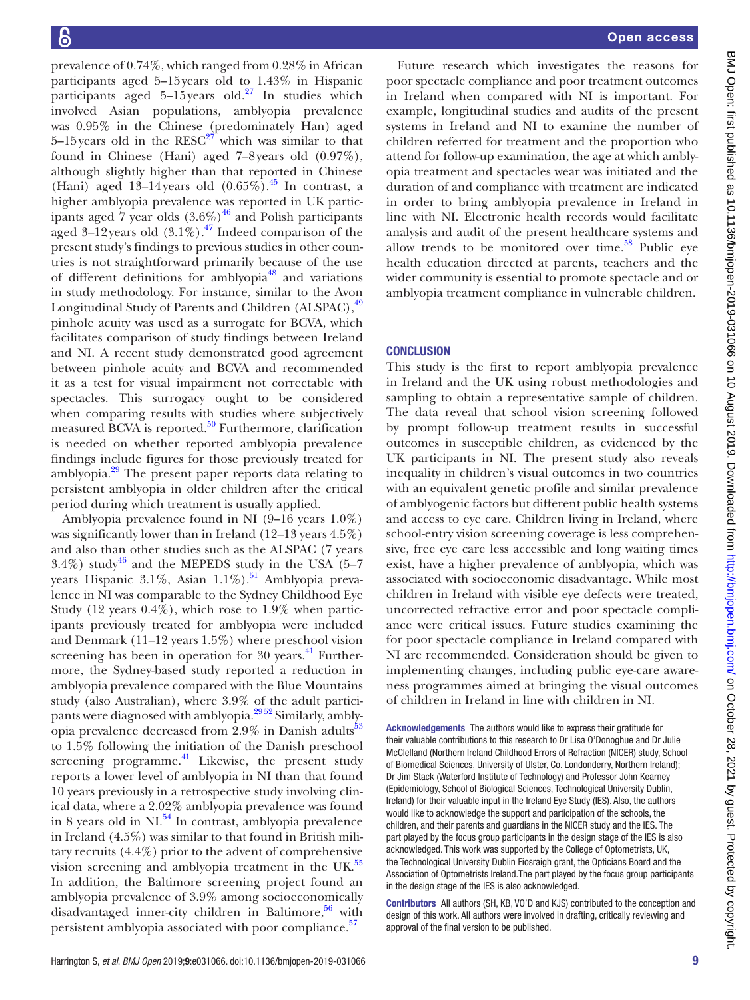prevalence of 0.74%, which ranged from 0.28% in African participants aged 5–15years old to 1.43% in Hispanic participants aged  $5-15$  years old.<sup>27</sup> In studies which involved Asian populations, amblyopia prevalence was 0.95% in the Chinese (predominately Han) aged 5–15 years old in the  $RESC^{27}$  $RESC^{27}$  $RESC^{27}$  which was similar to that found in Chinese (Hani) aged 7–8years old (0.97%), although slightly higher than that reported in Chinese (Hani) aged 13–14 years old  $(0.65\%)$ .<sup>45</sup> In contrast, a higher amblyopia prevalence was reported in UK participants aged  $\frac{7}{9}$  year olds  $(3.6\%)$ <sup>[46](#page-12-2)</sup> and Polish participants aged 3–12 years old  $(3.1\%)$ .<sup>[47](#page-12-3)</sup> Indeed comparison of the present study's findings to previous studies in other countries is not straightforward primarily because of the use of different definitions for amblyopia<sup>48</sup> and variations in study methodology. For instance, similar to the Avon Longitudinal Study of Parents and Children (ALSPAC),  $49$ pinhole acuity was used as a surrogate for BCVA, which facilitates comparison of study findings between Ireland and NI. A recent study demonstrated good agreement between pinhole acuity and BCVA and recommended it as a test for visual impairment not correctable with spectacles. This surrogacy ought to be considered when comparing results with studies where subjectively measured BCVA is reported. $50$  Furthermore, clarification is needed on whether reported amblyopia prevalence findings include figures for those previously treated for amblyopia.<sup>29</sup> The present paper reports data relating to persistent amblyopia in older children after the critical period during which treatment is usually applied.

Amblyopia prevalence found in NI (9–16 years 1.0%) was significantly lower than in Ireland (12–13 years 4.5%) and also than other studies such as the ALSPAC (7 years  $3.4\%$ ) study<sup>[46](#page-12-2)</sup> and the MEPEDS study in the USA (5–7 years Hispanic 3.1%, Asian  $1.1\%$ ).<sup>51</sup> Amblyopia prevalence in NI was comparable to the Sydney Childhood Eye Study (12 years 0.4%), which rose to 1.9% when participants previously treated for amblyopia were included and Denmark (11–12 years 1.5%) where preschool vision screening has been in operation for  $30$  years.<sup>41</sup> Furthermore, the Sydney-based study reported a reduction in amblyopia prevalence compared with the Blue Mountains study (also Australian), where 3.9% of the adult participants were diagnosed with amblyopia.[29 52](#page-11-18) Similarly, amblyopia prevalence decreased from  $2.9\%$  in Danish adults<sup>53</sup> to 1.5% following the initiation of the Danish preschool screening programme. $^{41}$  Likewise, the present study reports a lower level of amblyopia in NI than that found 10 years previously in a retrospective study involving clinical data, where a 2.02% amblyopia prevalence was found in 8 years old in  $\text{NI.}^{54}$  $\text{NI.}^{54}$  $\text{NI.}^{54}$  In contrast, amblyopia prevalence in Ireland (4.5%) was similar to that found in British military recruits (4.4%) prior to the advent of comprehensive vision screening and amblyopia treatment in the UK.<sup>55</sup> In addition, the Baltimore screening project found an amblyopia prevalence of 3.9% among socioeconomically disadvantaged inner-city children in Baltimore, $56$  with persistent amblyopia associated with poor compliance.<sup>57</sup>

Future research which investigates the reasons for poor spectacle compliance and poor treatment outcomes in Ireland when compared with NI is important. For example, longitudinal studies and audits of the present systems in Ireland and NI to examine the number of children referred for treatment and the proportion who attend for follow-up examination, the age at which amblyopia treatment and spectacles wear was initiated and the duration of and compliance with treatment are indicated in order to bring amblyopia prevalence in Ireland in line with NI. Electronic health records would facilitate analysis and audit of the present healthcare systems and allow trends to be monitored over time. $58$  Public eye health education directed at parents, teachers and the wider community is essential to promote spectacle and or amblyopia treatment compliance in vulnerable children.

#### **CONCLUSION**

This study is the first to report amblyopia prevalence in Ireland and the UK using robust methodologies and sampling to obtain a representative sample of children. The data reveal that school vision screening followed by prompt follow-up treatment results in successful outcomes in susceptible children, as evidenced by the UK participants in NI. The present study also reveals inequality in children's visual outcomes in two countries with an equivalent genetic profile and similar prevalence of amblyogenic factors but different public health systems and access to eye care. Children living in Ireland, where school-entry vision screening coverage is less comprehensive, free eye care less accessible and long waiting times exist, have a higher prevalence of amblyopia, which was associated with socioeconomic disadvantage. While most children in Ireland with visible eye defects were treated, uncorrected refractive error and poor spectacle compliance were critical issues. Future studies examining the for poor spectacle compliance in Ireland compared with NI are recommended. Consideration should be given to implementing changes, including public eye-care awareness programmes aimed at bringing the visual outcomes of children in Ireland in line with children in NI.

Acknowledgements The authors would like to express their gratitude for their valuable contributions to this research to Dr Lisa O'Donoghue and Dr Julie McClelland (Northern Ireland Childhood Errors of Refraction (NICER) study, School of Biomedical Sciences, University of Ulster, Co. Londonderry, Northern Ireland); Dr Jim Stack (Waterford Institute of Technology) and Professor John Kearney (Epidemiology, School of Biological Sciences, Technological University Dublin, Ireland) for their valuable input in the Ireland Eye Study (IES). Also, the authors would like to acknowledge the support and participation of the schools, the children, and their parents and guardians in the NICER study and the IES. The part played by the focus group participants in the design stage of the IES is also acknowledged. This work was supported by the College of Optometrists, UK, the Technological University Dublin Fiosraigh grant, the Opticians Board and the Association of Optometrists Ireland.The part played by the focus group participants in the design stage of the IES is also acknowledged.

Contributors All authors (SH, KB, VO'D and KJS) contributed to the conception and design of this work. All authors were involved in drafting, critically reviewing and approval of the final version to be published.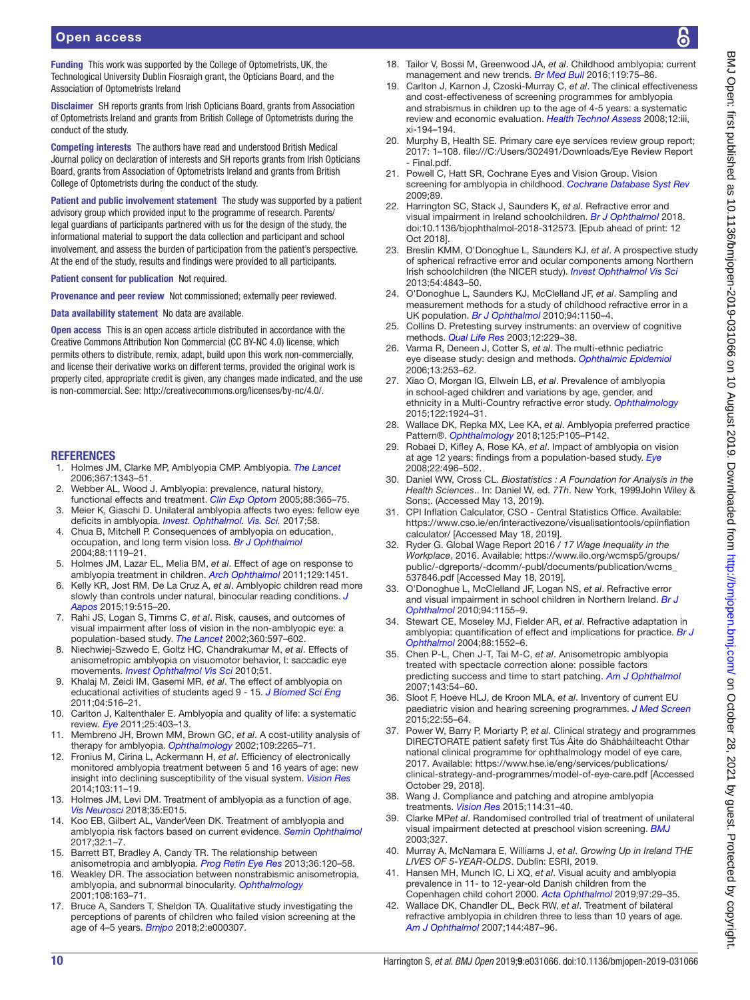Funding This work was supported by the College of Optometrists, UK, the Technological University Dublin Fiosraigh grant, the Opticians Board, and the Association of Optometrists Ireland

Disclaimer SH reports grants from Irish Opticians Board, grants from Association of Optometrists Ireland and grants from British College of Optometrists during the conduct of the study.

Competing interests The authors have read and understood British Medical Journal policy on declaration of interests and SH reports grants from Irish Opticians Board, grants from Association of Optometrists Ireland and grants from British College of Optometrists during the conduct of the study.

Patient and public involvement statement The study was supported by a patient advisory group which provided input to the programme of research. Parents/ legal guardians of participants partnered with us for the design of the study, the informational material to support the data collection and participant and school involvement, and assess the burden of participation from the patient's perspective. At the end of the study, results and findings were provided to all participants.

Patient consent for publication Not required.

Provenance and peer review Not commissioned; externally peer reviewed.

Data availability statement No data are available.

Open access This is an open access article distributed in accordance with the Creative Commons Attribution Non Commercial (CC BY-NC 4.0) license, which permits others to distribute, remix, adapt, build upon this work non-commercially, and license their derivative works on different terms, provided the original work is properly cited, appropriate credit is given, any changes made indicated, and the use is non-commercial. See: [http://creativecommons.org/licenses/by-nc/4.0/.](http://creativecommons.org/licenses/by-nc/4.0/)

#### **REFERENCES**

- <span id="page-11-0"></span>1. Holmes JM, Clarke MP, Amblyopia CMP. Amblyopia. *[The Lancet](http://dx.doi.org/10.1016/S0140-6736(06)68581-4)* 2006;367:1343–51.
- <span id="page-11-1"></span>2. Webber AL, Wood J. Amblyopia: prevalence, natural history,
- functional effects and treatment. *[Clin Exp Optom](http://dx.doi.org/10.1111/j.1444-0938.2005.tb05102.x)* 2005;88:365–75. 3. Meier K, Giaschi D. Unilateral amblyopia affects two eyes: fellow eye deficits in amblyopia. *[Invest. Ophthalmol. Vis. Sci.](http://dx.doi.org/10.1167/iovs.16-20964)* 2017;58.
- <span id="page-11-6"></span>4. Chua B, Mitchell P. Consequences of amblyopia on education, occupation, and long term vision loss. *[Br J Ophthalmol](http://dx.doi.org/10.1136/bjo.2004.041863)* 2004;88:1119–21.
- <span id="page-11-2"></span>5. Holmes JM, Lazar EL, Melia BM, *et al*. Effect of age on response to amblyopia treatment in children. *[Arch Ophthalmol](http://dx.doi.org/10.1001/archophthalmol.2011.179)* 2011;129:1451.
- <span id="page-11-3"></span>6. Kelly KR, Jost RM, De La Cruz A, *et al*. Amblyopic children read more slowly than controls under natural, binocular reading conditions. *[J](http://dx.doi.org/10.1016/j.jaapos.2015.09.002)  [Aapos](http://dx.doi.org/10.1016/j.jaapos.2015.09.002)* 2015;19:515–20.
- 7. Rahi JS, Logan S, Timms C, *et al*. Risk, causes, and outcomes of visual impairment after loss of vision in the non-amblyopic eye: a population-based study. *[The Lancet](http://dx.doi.org/10.1016/S0140-6736(02)09782-9)* 2002;360:597–602.
- <span id="page-11-7"></span>8. Niechwiej-Szwedo E, Goltz HC, Chandrakumar M, *et al*. Effects of anisometropic amblyopia on visuomotor behavior, I: saccadic eye movements. *[Invest Ophthalmol Vis Sci](http://dx.doi.org/10.1167/iovs.10-5882)* 2010;51.
- 9. Khalaj M, Zeidi IM, Gasemi MR, *et al*. The effect of amblyopia on educational activities of students aged 9 - 15. *[J Biomed Sci Eng](http://dx.doi.org/10.4236/jbise.2011.47066)* 2011;04:516–21.
- <span id="page-11-8"></span>10. Carlton J, Kaltenthaler E. Amblyopia and quality of life: a systematic review. *[Eye](http://dx.doi.org/10.1038/eye.2011.4)* 2011;25:403–13.
- <span id="page-11-9"></span>11. Membreno JH, Brown MM, Brown GC, *et al*. A cost-utility analysis of therapy for amblyopia. *[Ophthalmology](http://dx.doi.org/10.1016/S0161-6420(02)01286-1)* 2002;109:2265–71.
- <span id="page-11-10"></span>12. Fronius M, Cirina L, Ackermann H, *et al*. Efficiency of electronically monitored amblyopia treatment between 5 and 16 years of age: new insight into declining susceptibility of the visual system. *[Vision Res](http://dx.doi.org/10.1016/j.visres.2014.07.018)* 2014;103:11–19.
- 13. Holmes JM, Levi DM. Treatment of amblyopia as a function of age. *[Vis Neurosci](http://dx.doi.org/10.1017/S0952523817000220)* 2018;35:E015.
- 14. Koo EB, Gilbert AL, VanderVeen DK. Treatment of amblyopia and amblyopia risk factors based on current evidence. *[Semin Ophthalmol](http://dx.doi.org/10.1080/08820538.2016.1228408)* 2017;32:1–7.
- 15. Barrett BT, Bradley A, Candy TR. The relationship between anisometropia and amblyopia. *[Prog Retin Eye Res](http://dx.doi.org/10.1016/j.preteyeres.2013.05.001)* 2013;36:120–58.
- <span id="page-11-24"></span>16. Weakley DR. The association between nonstrabismic anisometropia, amblyopia, and subnormal binocularity. *[Ophthalmology](http://dx.doi.org/10.1016/S0161-6420(00)00425-5)* 2001;108:163–71.
- <span id="page-11-11"></span>17. Bruce A, Sanders T, Sheldon TA. Qualitative study investigating the perceptions of parents of children who failed vision screening at the age of 4–5 years. *[Bmjpo](http://dx.doi.org/10.1136/bmjpo-2018-000307)* 2018;2:e000307.
- <span id="page-11-12"></span>18. Tailor V, Bossi M, Greenwood JA, *et al*. Childhood amblyopia: current management and new trends. *[Br Med Bull](http://dx.doi.org/10.1093/bmb/ldw030)* 2016;119:75–86.
- <span id="page-11-5"></span>19. Carlton J, Karnon J, Czoski-Murray C, *et al*. The clinical effectiveness and cost-effectiveness of screening programmes for amblyopia and strabismus in children up to the age of 4-5 years: a systematic review and economic evaluation. *[Health Technol Assess](http://dx.doi.org/10.3310/hta12250)* 2008;12:iii, xi-194–194.
- <span id="page-11-4"></span>20. Murphy B, Health SE. Primary care eye services review group report; 2017: 1–108. [file:///C:/Users/302491/Downloads/Eye Review Report](file:///C:/Users/302491/Downloads/Eye%20Review%20Report%20-%20Final.pdf.)  [- Final.pdf.](file:///C:/Users/302491/Downloads/Eye%20Review%20Report%20-%20Final.pdf.)
- 21. Powell C, Hatt SR, Cochrane Eyes and Vision Group. Vision screening for amblyopia in childhood. *[Cochrane Database Syst Rev](http://dx.doi.org/10.1002/14651858.CD005020.pub3)* 2009;89.
- <span id="page-11-13"></span>22. Harrington SC, Stack J, Saunders K, *et al*. Refractive error and visual impairment in Ireland schoolchildren. *[Br J Ophthalmol](http://dx.doi.org/10.1136/bjophthalmol-2018-312573)* 2018. doi:10.1136/bjophthalmol-2018-312573. [Epub ahead of print: 12 Oct 2018].
- 23. Breslin KMM, O'Donoghue L, Saunders KJ, *et al*. A prospective study of spherical refractive error and ocular components among Northern Irish schoolchildren (the NICER study). *[Invest Ophthalmol Vis Sci](http://dx.doi.org/10.1167/iovs.13-11813)* 2013;54:4843–50.
- <span id="page-11-20"></span>24. O'Donoghue L, Saunders KJ, McClelland JF, *et al*. Sampling and measurement methods for a study of childhood refractive error in a UK population. *[Br J Ophthalmol](http://dx.doi.org/10.1136/bjo.2009.167965)* 2010;94:1150–4.
- <span id="page-11-14"></span>25. Collins D. Pretesting survey instruments: an overview of cognitive methods. *[Qual Life Res](http://dx.doi.org/10.1023/A:1023254226592)* 2003;12:229–38.
- <span id="page-11-15"></span>26. Varma R, Deneen J, Cotter S, *et al*. The multi-ethnic pediatric eye disease study: design and methods. *[Ophthalmic Epidemiol](http://dx.doi.org/10.1080/09286580600719055)* 2006;13:253–62.
- <span id="page-11-16"></span>27. Xiao O, Morgan IG, Ellwein LB, *et al*. Prevalence of amblyopia in school-aged children and variations by age, gender, and ethnicity in a Multi-Country refractive error study. *[Ophthalmology](http://dx.doi.org/10.1016/j.ophtha.2015.05.034)* 2015;122:1924–31.
- <span id="page-11-17"></span>28. Wallace DK, Repka MX, Lee KA, *et al*. Amblyopia preferred practice Pattern®. *[Ophthalmology](http://dx.doi.org/10.1016/j.ophtha.2017.10.008)* 2018;125:P105–P142.
- <span id="page-11-18"></span>29. Robaei D, Kifley A, Rose KA, *et al*. Impact of amblyopia on vision at age 12 years: findings from a population-based study. *[Eye](http://dx.doi.org/10.1038/sj.eye.6702668)* 2008;22:496–502.
- <span id="page-11-19"></span>30. Daniel WW, Cross CL. *Biostatistics : A Foundation for Analysis in the Health Sciences*.. In: Daniel W, ed. *7Th*. New York, 1999John Wiley & Sons;. (Accessed May 13, 2019).
- <span id="page-11-21"></span>31. CPI Inflation Calculator, CSO - Central Statistics Office. Available: [https://www.cso.ie/en/interactivezone/visualisationtools/cpiinflation](https://www.cso.ie/en/interactivezone/visualisationtools/cpiinflationcalculator/) [calculator/](https://www.cso.ie/en/interactivezone/visualisationtools/cpiinflationcalculator/) [Accessed May 18, 2019].
- <span id="page-11-22"></span>32. Ryder G. Global Wage Report 2016 */ 17 Wage Inequality in the Workplace*, 2016. Available: [https://www.ilo.org/wcmsp5/groups/](https://www.ilo.org/wcmsp5/groups/public/-dgreports/-dcomm/-publ/documents/publication/wcms_537846.pdf) [public/-dgreports/-dcomm/-publ/documents/publication/wcms\\_](https://www.ilo.org/wcmsp5/groups/public/-dgreports/-dcomm/-publ/documents/publication/wcms_537846.pdf) [537846.pdf](https://www.ilo.org/wcmsp5/groups/public/-dgreports/-dcomm/-publ/documents/publication/wcms_537846.pdf) [Accessed May 18, 2019].
- <span id="page-11-23"></span>33. O'Donoghue L, McClelland JF, Logan NS, *et al*. Refractive error and visual impairment in school children in Northern Ireland. *[Br J](http://dx.doi.org/10.1136/bjo.2009.176040)  [Ophthalmol](http://dx.doi.org/10.1136/bjo.2009.176040)* 2010;94:1155–9.
- 34. Stewart CE, Moseley MJ, Fielder AR, *et al*. Refractive adaptation in amblyopia: quantification of effect and implications for practice. *[Br J](http://dx.doi.org/10.1136/bjo.2004.044214)  [Ophthalmol](http://dx.doi.org/10.1136/bjo.2004.044214)* 2004;88:1552–6.
- 35. Chen P-L, Chen J-T, Tai M-C, *et al*. Anisometropic amblyopia treated with spectacle correction alone: possible factors predicting success and time to start patching. *[Am J Ophthalmol](http://dx.doi.org/10.1016/j.ajo.2006.09.027)* 2007;143:54–60.
- <span id="page-11-25"></span>36. Sloot F, Hoeve HLJ, de Kroon MLA, *et al*. Inventory of current EU paediatric vision and hearing screening programmes. *[J Med Screen](http://dx.doi.org/10.1177/0969141315572403)* 2015;22:55–64.
- <span id="page-11-26"></span>37. Power W, Barry P, Moriarty P, *et al*. Clinical strategy and programmes DIRECTORATE patient safety first Tús Áite do Shábháilteacht Othar national clinical programme for ophthalmology model of eye care, 2017. Available: [https://www.hse.ie/eng/services/publications/](https://www.hse.ie/eng/services/publications/clinical-strategy-and-programmes/model-of-eye-care.pdf) [clinical-strategy-and-programmes/model-of-eye-care.pdf](https://www.hse.ie/eng/services/publications/clinical-strategy-and-programmes/model-of-eye-care.pdf) [Accessed October 29, 2018].
- <span id="page-11-27"></span>38. Wang J. Compliance and patching and atropine amblyopia treatments. *[Vision Res](http://dx.doi.org/10.1016/j.visres.2015.02.012)* 2015;114:31–40.
- <span id="page-11-28"></span>39. Clarke MP*et al*. Randomised controlled trial of treatment of unilateral visual impairment detected at preschool vision screening. *[BMJ](http://dx.doi.org/10.1136/bmj.327.7426.1251)* 2003;327.
- <span id="page-11-29"></span>40. Murray A, McNamara E, Williams J, *et al*. *Growing Up in Ireland THE LIVES OF 5-YEAR-OLDS*. Dublin: ESRI, 2019.
- <span id="page-11-30"></span>41. Hansen MH, Munch IC, Li XQ, *et al*. Visual acuity and amblyopia prevalence in 11- to 12-year-old Danish children from the Copenhagen child cohort 2000. *[Acta Ophthalmol](http://dx.doi.org/10.1111/aos.13842)* 2019;97:29–35.
- <span id="page-11-31"></span>42. Wallace DK, Chandler DL, Beck RW, *et al*. Treatment of bilateral refractive amblyopia in children three to less than 10 years of age. *[Am J Ophthalmol](http://dx.doi.org/10.1016/j.ajo.2007.05.040)* 2007;144:487–96.